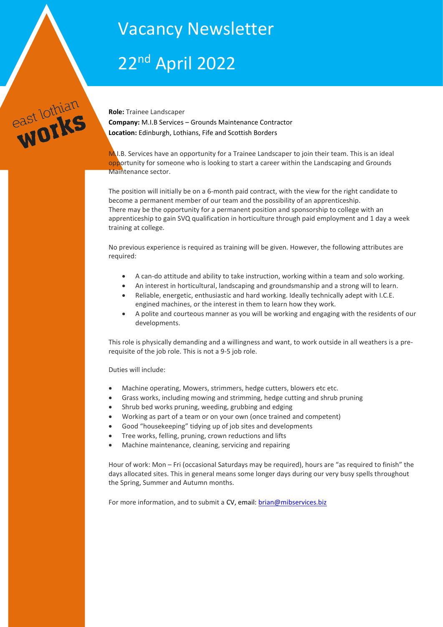# Vacancy Newsletter

# 22nd April 2022



**Role:** Trainee Landscaper **Company:** M.I.B Services – Grounds Maintenance Contractor **Location:** Edinburgh, Lothians, Fife and Scottish Borders

 $M<sub>1</sub>$ I.B. Services have an opportunity for a Trainee Landscaper to join their team. This is an ideal opportunity for someone who is looking to start a career within the Landscaping and Grounds Maintenance sector.

The position will initially be on a 6-month paid contract, with the view for the right candidate to become a permanent member of our team and the possibility of an apprenticeship. There may be the opportunity for a permanent position and sponsorship to college with an apprenticeship to gain SVQ qualification in horticulture through paid employment and 1 day a week training at college.

No previous experience is required as training will be given. However, the following attributes are required:

- A can-do attitude and ability to take instruction, working within a team and solo working.
- An interest in horticultural, landscaping and groundsmanship and a strong will to learn.
- Reliable, energetic, enthusiastic and hard working. Ideally technically adept with I.C.E. engined machines, or the interest in them to learn how they work.
- A polite and courteous manner as you will be working and engaging with the residents of our developments.

This role is physically demanding and a willingness and want, to work outside in all weathers is a prerequisite of the job role. This is not a 9-5 job role.

Duties will include:

- Machine operating, Mowers, strimmers, hedge cutters, blowers etc etc.
- Grass works, including mowing and strimming, hedge cutting and shrub pruning
- Shrub bed works pruning, weeding, grubbing and edging
- Working as part of a team or on your own (once trained and competent)
- Good "housekeeping" tidying up of job sites and developments
- Tree works, felling, pruning, crown reductions and lifts
- Machine maintenance, cleaning, servicing and repairing

Hour of work: Mon – Fri (occasional Saturdays may be required), hours are "as required to finish" the days allocated sites. This in general means some longer days during our very busy spells throughout the Spring, Summer and Autumn months.

For more information, and to submit a CV, email[: brian@mibservices.biz](mailto:brian@mibservices.biz)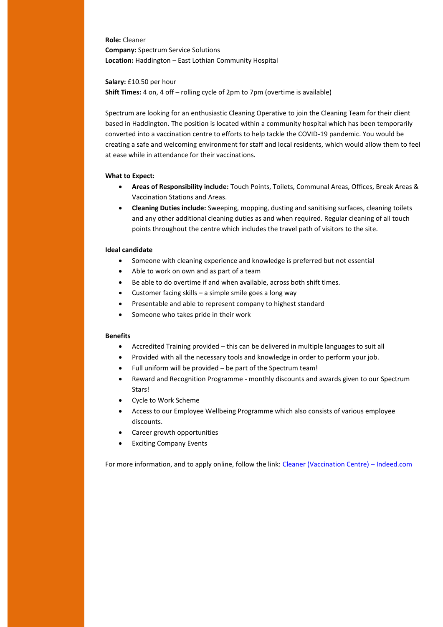**Role:** Cleaner **Company:** Spectrum Service Solutions **Location:** Haddington – East Lothian Community Hospital

**Salary:** £10.50 per hour

**Shift Times:** 4 on, 4 off – rolling cycle of 2pm to 7pm (overtime is available)

Spectrum are looking for an enthusiastic Cleaning Operative to join the Cleaning Team for their client based in Haddington. The position is located within a community hospital which has been temporarily converted into a vaccination centre to efforts to help tackle the COVID-19 pandemic. You would be creating a safe and welcoming environment for staff and local residents, which would allow them to feel at ease while in attendance for their vaccinations.

#### **What to Expect:**

- **Areas of Responsibility include:** Touch Points, Toilets, Communal Areas, Offices, Break Areas & Vaccination Stations and Areas.
- **Cleaning Duties include:** Sweeping, mopping, dusting and sanitising surfaces, cleaning toilets and any other additional cleaning duties as and when required. Regular cleaning of all touch points throughout the centre which includes the travel path of visitors to the site.

#### **Ideal candidate**

- Someone with cleaning experience and knowledge is preferred but not essential
	- Able to work on own and as part of a team
	- Be able to do overtime if and when available, across both shift times.
	- Customer facing skills a simple smile goes a long way
	- Presentable and able to represent company to highest standard
	- Someone who takes pride in their work

#### **Benefits**

- Accredited Training provided this can be delivered in multiple languages to suit all
- Provided with all the necessary tools and knowledge in order to perform your job.
- Full uniform will be provided be part of the Spectrum team!
- Reward and Recognition Programme monthly discounts and awards given to our Spectrum Stars!
- Cycle to Work Scheme
- Access to our Employee Wellbeing Programme which also consists of various employee discounts.
- Career growth opportunities
- Exciting Company Events

For more information, and to apply online, follow the link: [Cleaner \(Vaccination Centre\)](https://uk.indeed.com/viewjob?jk=e117682ea95cd913&l=East+Lothian&tk=1g15q2k5kjv6g800&from=web&advn=7785358283598763&adid=34228631&ad=-6NYlbfkN0BWk5szeym5TUlaeYv_ZoSjRLTP6gGxIhJBIoWbTHhkuqtFaAoX6kk7YfP9mKTAi6sJSjZQT4thdM8n2_WuGFhOXU6AJyMvgtuzes3vwD-hKoGSQ26kOfU6Mdk2npcCl5rJP9clSMbNZFI50OmDDRwjUfbilbIet1pU3O3bgoWvxi5vp9y5olbkcrlhkWXnQirG4y7etmE1aX3SQ8Eu94plmKXpXK_83C3kl4FcT6yNZXEZVYVfMwW_P0HYytUybBOYoUXYzAeu5EGnpMCT3Fhe7CCEP5a7PAbwEqlern3XC4JRxbzh1yLjQpBDTllLcvKpNCFKN-mI1yFXUzNAkOlcs_0TrlfVF67FrsdJWcQuJJPbdLar_qz0&pub=4a1b367933fd867b19b072952f68dceb&vjs=3) – Indeed.com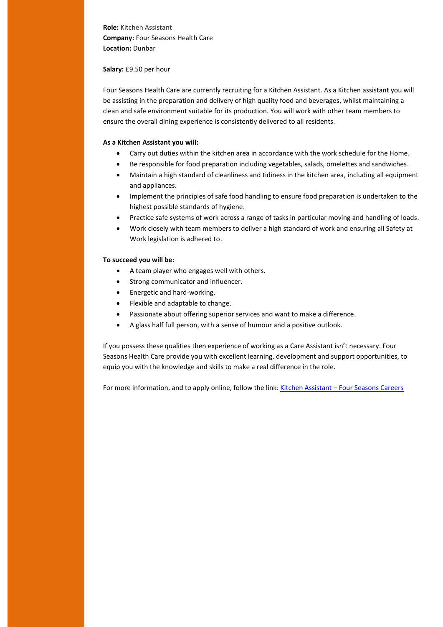**Role:** Kitchen Assistant **Company:** Four Seasons Health Care **Location:** Dunbar

#### **Salary:** £9.50 per hour

Four Seasons Health Care are currently recruiting for a Kitchen Assistant. As a Kitchen assistant you will be assisting in the preparation and delivery of high quality food and beverages, whilst maintaining a clean and safe environment suitable for its production. You will work with other team members to ensure the overall dining experience is consistently delivered to all residents.

## **As a Kitchen Assistant you will:**

- Carry out duties within the kitchen area in accordance with the work schedule for the Home.
- Be responsible for food preparation including vegetables, salads, omelettes and sandwiches.
- Maintain a high standard of cleanliness and tidiness in the kitchen area, including all equipment and appliances.
- Implement the principles of safe food handling to ensure food preparation is undertaken to the highest possible standards of hygiene.
- Practice safe systems of work across a range of tasks in particular moving and handling of loads.
- Work closely with team members to deliver a high standard of work and ensuring all Safety at Work legislation is adhered to.

#### **To succeed you will be:**

- A team player who engages well with others.
- Strong communicator and influencer.
- Energetic and hard-working.
- Flexible and adaptable to change.
- Passionate about offering superior services and want to make a difference.
- A glass half full person, with a sense of humour and a positive outlook.

If you possess these qualities then experience of working as a Care Assistant isn't necessary. Four Seasons Health Care provide you with excellent learning, development and support opportunities, to equip you with the knowledge and skills to make a real difference in the role.

For more information, and to apply online, follow the link: Kitchen Assistant – [Four Seasons Careers](https://careers.fshcgroup.com/jobs/vacancy/kitchen-assistant-lam0030-lammermuir-house-dunbar/10371/description/)